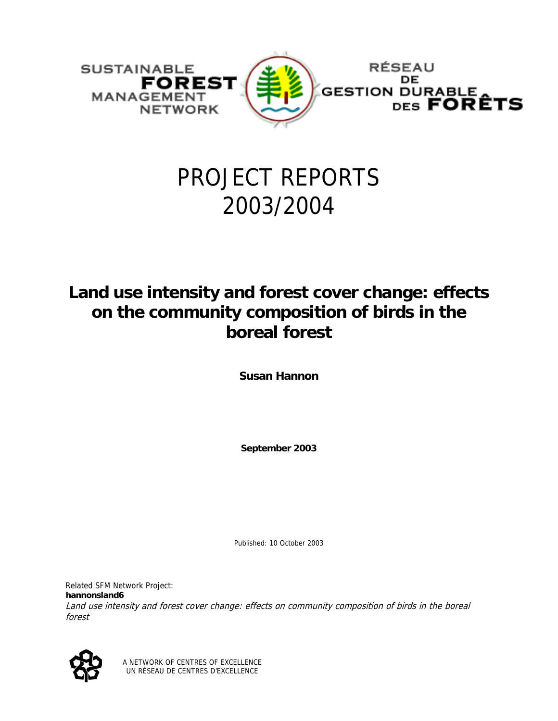

# PROJECT REPORTS 2003/2004

### **Land use intensity and forest cover change: effects on the community composition of birds in the boreal forest**

**Susan Hannon** 

**September 2003** 

Published: 10 October 2003

Related SFM Network Project: **hannonsland6** Land use intensity and forest cover change: effects on community composition of birds in the boreal forest



A NETWORK OF CENTRES OF EXCELLENCE UN RÉSEAU DE CENTRES D'EXCELLENCE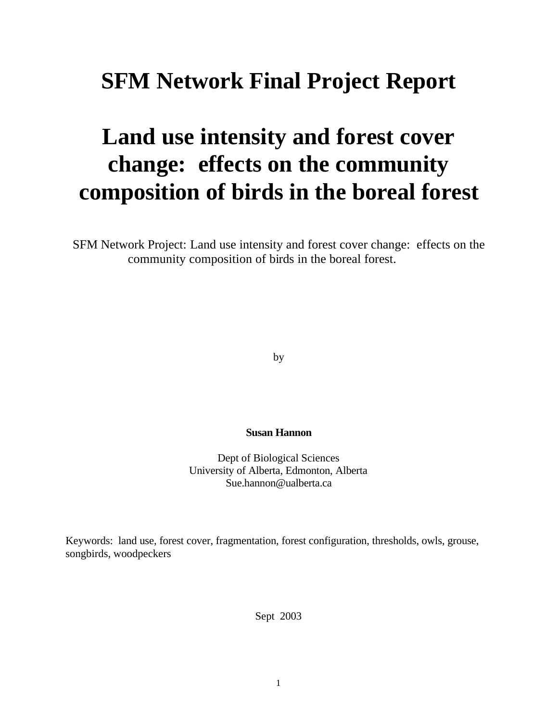## **SFM Network Final Project Report**

# **Land use intensity and forest cover change: effects on the community composition of birds in the boreal forest**

SFM Network Project: Land use intensity and forest cover change: effects on the community composition of birds in the boreal forest.

by

#### **Susan Hannon**

Dept of Biological Sciences University of Alberta, Edmonton, Alberta Sue.hannon@ualberta.ca

Keywords: land use, forest cover, fragmentation, forest configuration, thresholds, owls, grouse, songbirds, woodpeckers

Sept 2003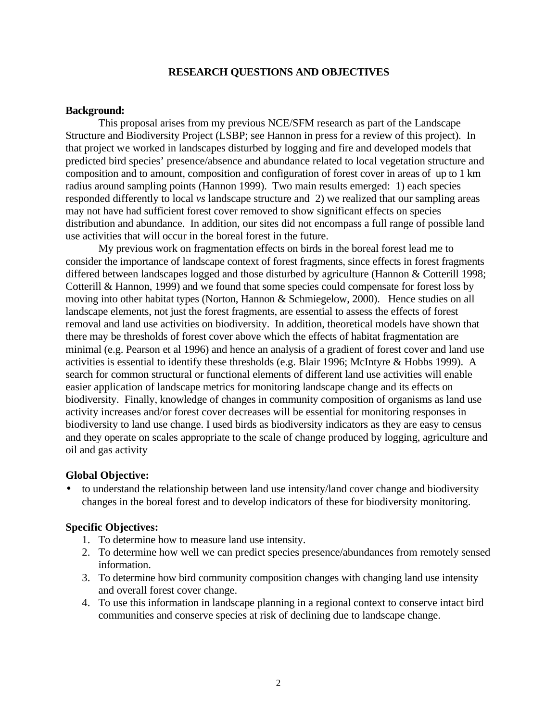#### **RESEARCH QUESTIONS AND OBJECTIVES**

#### **Background:**

This proposal arises from my previous NCE/SFM research as part of the Landscape Structure and Biodiversity Project (LSBP; see Hannon in press for a review of this project). In that project we worked in landscapes disturbed by logging and fire and developed models that predicted bird species' presence/absence and abundance related to local vegetation structure and composition and to amount, composition and configuration of forest cover in areas of up to 1 km radius around sampling points (Hannon 1999). Two main results emerged: 1) each species responded differently to local *vs* landscape structure and 2) we realized that our sampling areas may not have had sufficient forest cover removed to show significant effects on species distribution and abundance. In addition, our sites did not encompass a full range of possible land use activities that will occur in the boreal forest in the future.

My previous work on fragmentation effects on birds in the boreal forest lead me to consider the importance of landscape context of forest fragments, since effects in forest fragments differed between landscapes logged and those disturbed by agriculture (Hannon & Cotterill 1998; Cotterill & Hannon, 1999) and we found that some species could compensate for forest loss by moving into other habitat types (Norton, Hannon & Schmiegelow, 2000). Hence studies on all landscape elements, not just the forest fragments, are essential to assess the effects of forest removal and land use activities on biodiversity. In addition, theoretical models have shown that there may be thresholds of forest cover above which the effects of habitat fragmentation are minimal (e.g. Pearson et al 1996) and hence an analysis of a gradient of forest cover and land use activities is essential to identify these thresholds (e.g. Blair 1996; McIntyre & Hobbs 1999). A search for common structural or functional elements of different land use activities will enable easier application of landscape metrics for monitoring landscape change and its effects on biodiversity. Finally, knowledge of changes in community composition of organisms as land use activity increases and/or forest cover decreases will be essential for monitoring responses in biodiversity to land use change. I used birds as biodiversity indicators as they are easy to census and they operate on scales appropriate to the scale of change produced by logging, agriculture and oil and gas activity

#### **Global Objective:**

• to understand the relationship between land use intensity/land cover change and biodiversity changes in the boreal forest and to develop indicators of these for biodiversity monitoring.

#### **Specific Objectives:**

- 1. To determine how to measure land use intensity.
- 2. To determine how well we can predict species presence/abundances from remotely sensed information.
- 3. To determine how bird community composition changes with changing land use intensity and overall forest cover change.
- 4. To use this information in landscape planning in a regional context to conserve intact bird communities and conserve species at risk of declining due to landscape change.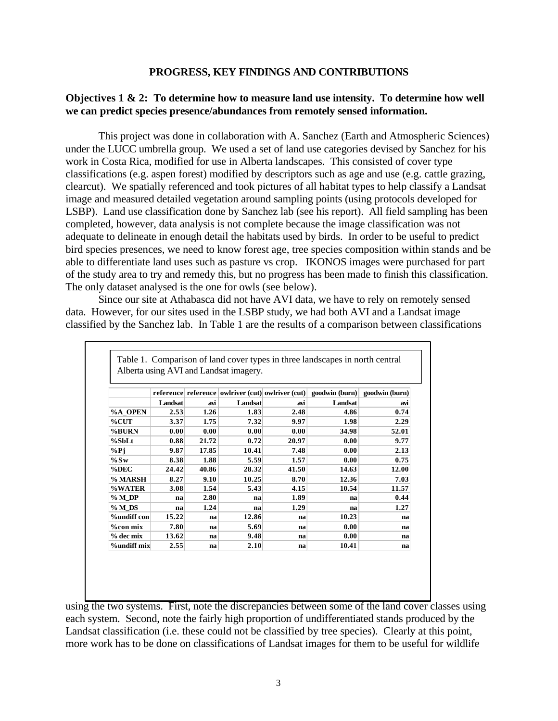#### **PROGRESS, KEY FINDINGS AND CONTRIBUTIONS**

#### **Objectives 1 & 2: To determine how to measure land use intensity. To determine how well we can predict species presence/abundances from remotely sensed information.**

This project was done in collaboration with A. Sanchez (Earth and Atmospheric Sciences) under the LUCC umbrella group. We used a set of land use categories devised by Sanchez for his work in Costa Rica, modified for use in Alberta landscapes. This consisted of cover type classifications (e.g. aspen forest) modified by descriptors such as age and use (e.g. cattle grazing, clearcut). We spatially referenced and took pictures of all habitat types to help classify a Landsat image and measured detailed vegetation around sampling points (using protocols developed for LSBP). Land use classification done by Sanchez lab (see his report). All field sampling has been completed, however, data analysis is not complete because the image classification was not adequate to delineate in enough detail the habitats used by birds. In order to be useful to predict bird species presences, we need to know forest age, tree species composition within stands and be able to differentiate land uses such as pasture vs crop. IKONOS images were purchased for part of the study area to try and remedy this, but no progress has been made to finish this classification. The only dataset analysed is the one for owls (see below).

Since our site at Athabasca did not have AVI data, we have to rely on remotely sensed data. However, for our sites used in the LSBP study, we had both AVI and a Landsat image classified by the Sanchez lab. In Table 1 are the results of a comparison between classifications

|                    |         |       | Alberta using AVI and Landsat imagery. |       |                                                                        |                |
|--------------------|---------|-------|----------------------------------------|-------|------------------------------------------------------------------------|----------------|
|                    |         |       |                                        |       | reference reference   owlriver (cut)   owlriver (cut)   goodwin (burn) | goodwin (burn) |
|                    | Landsat | avi   | Landsat                                | avi   | Landsat                                                                | avi            |
| %A OPEN            | 2.53    | 1.26  | 1.83                                   | 2.48  | 4.86                                                                   | 0.74           |
| $\%$ CUT           | 3.37    | 1.75  | 7.32                                   | 9.97  | 1.98                                                                   | 2.29           |
| %BURN              | 0.00    | 0.00  | 0.00                                   | 0.00  | 34.98                                                                  | 52.01          |
| $%$ SbLt           | 0.88    | 21.72 | 0.72                                   | 20.97 | 0.00                                                                   | 9.77           |
| $%$ Pj             | 9.87    | 17.85 | 10.41                                  | 7.48  | 0.00                                                                   | 2.13           |
| $%$ Sw             | 8.38    | 1.88  | 5.59                                   | 1.57  | 0.00                                                                   | 0.75           |
| %DEC               | 24.42   | 40.86 | 28.32                                  | 41.50 | 14.63                                                                  | 12.00          |
| % MARSH            | 8.27    | 9.10  | 10.25                                  | 8.70  | 12.36                                                                  | 7.03           |
| %WATER             | 3.08    | 1.54  | 5.43                                   | 4.15  | 10.54                                                                  | 11.57          |
| %MDP               | na      | 2.80  | na                                     | 1.89  | na                                                                     | 0.44           |
| %MDS               | na      | 1.24  | na                                     | 1.29  | na                                                                     | 1.27           |
| <b>%undiff</b> con | 15.22   | na    | 12.86                                  | na    | 10.23                                                                  | na             |
| $%$ con mix        | 7.80    | na    | 5.69                                   | na    | 0.00                                                                   | na             |
| % dec mix          | 13.62   | na    | 9.48                                   | na    | 0.00                                                                   | na             |
| <b>%undiff mix</b> | 2.55    | na    | 2.10                                   | na    | 10.41                                                                  | na             |

using the two systems. First, note the discrepancies between some of the land cover classes using each system. Second, note the fairly high proportion of undifferentiated stands produced by the Landsat classification (i.e. these could not be classified by tree species). Clearly at this point, more work has to be done on classifications of Landsat images for them to be useful for wildlife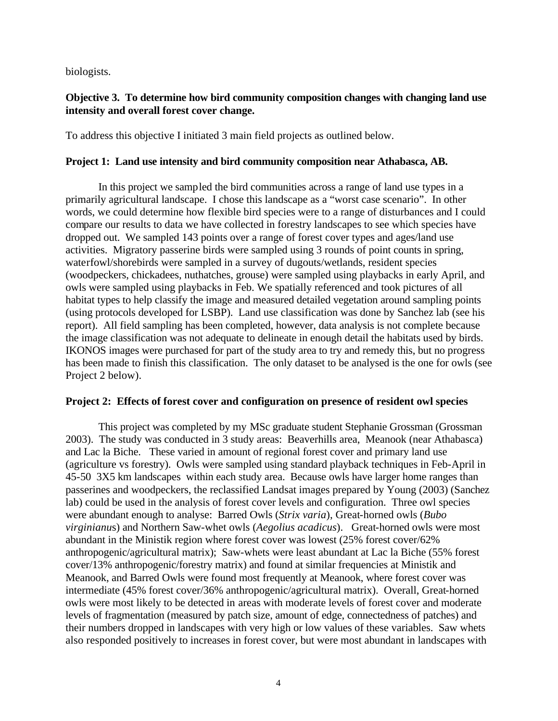biologists.

#### **Objective 3. To determine how bird community composition changes with changing land use intensity and overall forest cover change.**

To address this objective I initiated 3 main field projects as outlined below.

#### **Project 1: Land use intensity and bird community composition near Athabasca, AB.**

In this project we sampled the bird communities across a range of land use types in a primarily agricultural landscape. I chose this landscape as a "worst case scenario". In other words, we could determine how flexible bird species were to a range of disturbances and I could compare our results to data we have collected in forestry landscapes to see which species have dropped out. We sampled 143 points over a range of forest cover types and ages/land use activities. Migratory passerine birds were sampled using 3 rounds of point counts in spring, waterfowl/shorebirds were sampled in a survey of dugouts/wetlands, resident species (woodpeckers, chickadees, nuthatches, grouse) were sampled using playbacks in early April, and owls were sampled using playbacks in Feb. We spatially referenced and took pictures of all habitat types to help classify the image and measured detailed vegetation around sampling points (using protocols developed for LSBP). Land use classification was done by Sanchez lab (see his report). All field sampling has been completed, however, data analysis is not complete because the image classification was not adequate to delineate in enough detail the habitats used by birds. IKONOS images were purchased for part of the study area to try and remedy this, but no progress has been made to finish this classification. The only dataset to be analysed is the one for owls (see Project 2 below).

#### **Project 2: Effects of forest cover and configuration on presence of resident owl species**

This project was completed by my MSc graduate student Stephanie Grossman (Grossman 2003). The study was conducted in 3 study areas: Beaverhills area, Meanook (near Athabasca) and Lac la Biche. These varied in amount of regional forest cover and primary land use (agriculture vs forestry). Owls were sampled using standard playback techniques in Feb-April in 45-50 3X5 km landscapes within each study area. Because owls have larger home ranges than passerines and woodpeckers, the reclassified Landsat images prepared by Young (2003) (Sanchez lab) could be used in the analysis of forest cover levels and configuration. Three owl species were abundant enough to analyse: Barred Owls (*Strix varia*), Great-horned owls (*Bubo virginianu*s) and Northern Saw-whet owls (*Aegolius acadicus*). Great-horned owls were most abundant in the Ministik region where forest cover was lowest (25% forest cover/62% anthropogenic/agricultural matrix); Saw-whets were least abundant at Lac la Biche (55% forest cover/13% anthropogenic/forestry matrix) and found at similar frequencies at Ministik and Meanook, and Barred Owls were found most frequently at Meanook, where forest cover was intermediate (45% forest cover/36% anthropogenic/agricultural matrix). Overall, Great-horned owls were most likely to be detected in areas with moderate levels of forest cover and moderate levels of fragmentation (measured by patch size, amount of edge, connectedness of patches) and their numbers dropped in landscapes with very high or low values of these variables. Saw whets also responded positively to increases in forest cover, but were most abundant in landscapes with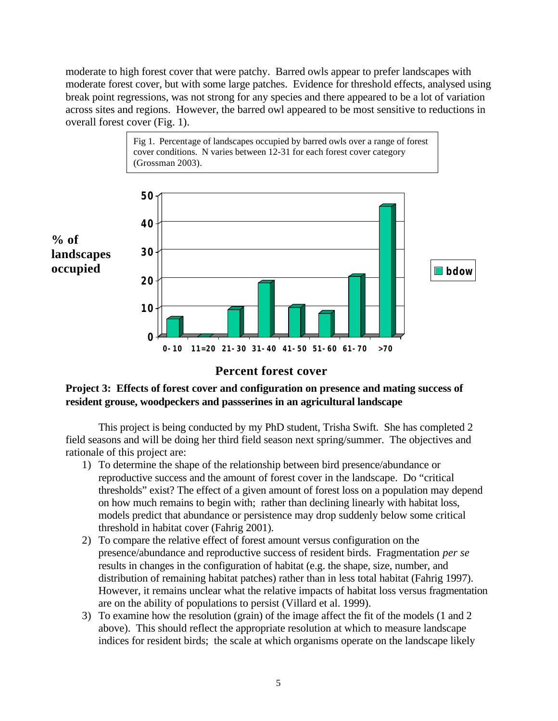moderate to high forest cover that were patchy. Barred owls appear to prefer landscapes with moderate forest cover, but with some large patches. Evidence for threshold effects, analysed using break point regressions, was not strong for any species and there appeared to be a lot of variation across sites and regions. However, the barred owl appeared to be most sensitive to reductions in overall forest cover (Fig. 1).



#### **Percent forest cover**

#### **Project 3: Effects of forest cover and configuration on presence and mating success of resident grouse, woodpeckers and passserines in an agricultural landscape**

This project is being conducted by my PhD student, Trisha Swift. She has completed 2 field seasons and will be doing her third field season next spring/summer. The objectives and rationale of this project are:

- 1) To determine the shape of the relationship between bird presence/abundance or reproductive success and the amount of forest cover in the landscape. Do "critical thresholds" exist? The effect of a given amount of forest loss on a population may depend on how much remains to begin with; rather than declining linearly with habitat loss, models predict that abundance or persistence may drop suddenly below some critical threshold in habitat cover (Fahrig 2001).
- 2) To compare the relative effect of forest amount versus configuration on the presence/abundance and reproductive success of resident birds. Fragmentation *per se* results in changes in the configuration of habitat (e.g. the shape, size, number, and distribution of remaining habitat patches) rather than in less total habitat (Fahrig 1997). However, it remains unclear what the relative impacts of habitat loss versus fragmentation are on the ability of populations to persist (Villard et al. 1999).
- 3) To examine how the resolution (grain) of the image affect the fit of the models (1 and 2 above). This should reflect the appropriate resolution at which to measure landscape indices for resident birds; the scale at which organisms operate on the landscape likely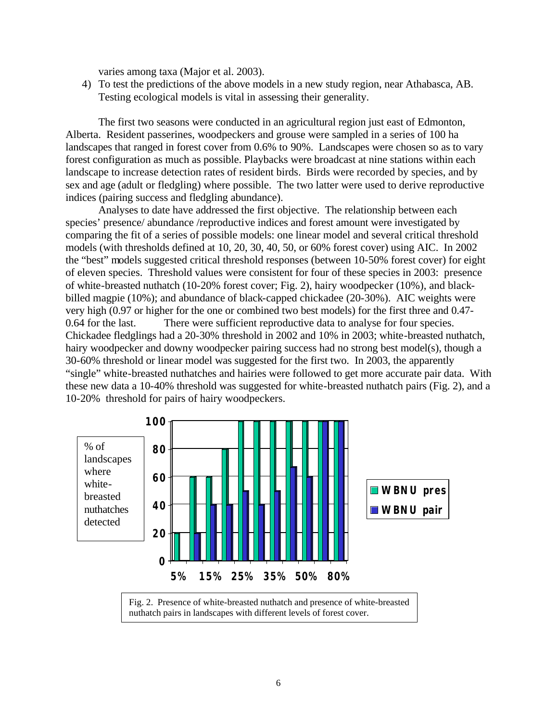varies among taxa (Major et al. 2003).

4) To test the predictions of the above models in a new study region, near Athabasca, AB. Testing ecological models is vital in assessing their generality.

The first two seasons were conducted in an agricultural region just east of Edmonton, Alberta. Resident passerines, woodpeckers and grouse were sampled in a series of 100 ha landscapes that ranged in forest cover from 0.6% to 90%. Landscapes were chosen so as to vary forest configuration as much as possible. Playbacks were broadcast at nine stations within each landscape to increase detection rates of resident birds. Birds were recorded by species, and by sex and age (adult or fledgling) where possible. The two latter were used to derive reproductive indices (pairing success and fledgling abundance).

Analyses to date have addressed the first objective. The relationship between each species' presence/ abundance /reproductive indices and forest amount were investigated by comparing the fit of a series of possible models: one linear model and several critical threshold models (with thresholds defined at 10, 20, 30, 40, 50, or 60% forest cover) using AIC. In 2002 the "best" models suggested critical threshold responses (between 10-50% forest cover) for eight of eleven species. Threshold values were consistent for four of these species in 2003: presence of white-breasted nuthatch (10-20% forest cover; Fig. 2), hairy woodpecker (10%), and blackbilled magpie (10%); and abundance of black-capped chickadee (20-30%). AIC weights were very high (0.97 or higher for the one or combined two best models) for the first three and 0.47- 0.64 for the last. There were sufficient reproductive data to analyse for four species. Chickadee fledglings had a 20-30% threshold in 2002 and 10% in 2003; white-breasted nuthatch, hairy woodpecker and downy woodpecker pairing success had no strong best model(s), though a 30-60% threshold or linear model was suggested for the first two. In 2003, the apparently "single" white-breasted nuthatches and hairies were followed to get more accurate pair data. With these new data a 10-40% threshold was suggested for white-breasted nuthatch pairs (Fig. 2), and a 10-20% threshold for pairs of hairy woodpeckers.

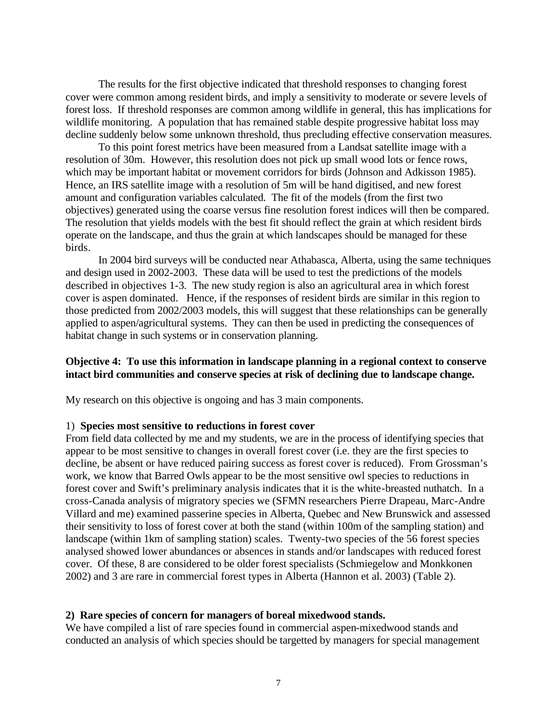The results for the first objective indicated that threshold responses to changing forest cover were common among resident birds, and imply a sensitivity to moderate or severe levels of forest loss. If threshold responses are common among wildlife in general, this has implications for wildlife monitoring. A population that has remained stable despite progressive habitat loss may decline suddenly below some unknown threshold, thus precluding effective conservation measures.

To this point forest metrics have been measured from a Landsat satellite image with a resolution of 30m. However, this resolution does not pick up small wood lots or fence rows, which may be important habitat or movement corridors for birds (Johnson and Adkisson 1985). Hence, an IRS satellite image with a resolution of 5m will be hand digitised, and new forest amount and configuration variables calculated. The fit of the models (from the first two objectives) generated using the coarse versus fine resolution forest indices will then be compared. The resolution that yields models with the best fit should reflect the grain at which resident birds operate on the landscape, and thus the grain at which landscapes should be managed for these birds.

In 2004 bird surveys will be conducted near Athabasca, Alberta, using the same techniques and design used in 2002-2003. These data will be used to test the predictions of the models described in objectives 1-3. The new study region is also an agricultural area in which forest cover is aspen dominated. Hence, if the responses of resident birds are similar in this region to those predicted from 2002/2003 models, this will suggest that these relationships can be generally applied to aspen/agricultural systems. They can then be used in predicting the consequences of habitat change in such systems or in conservation planning.

#### **Objective 4: To use this information in landscape planning in a regional context to conserve intact bird communities and conserve species at risk of declining due to landscape change.**

My research on this objective is ongoing and has 3 main components.

#### 1) **Species most sensitive to reductions in forest cover**

From field data collected by me and my students, we are in the process of identifying species that appear to be most sensitive to changes in overall forest cover (i.e. they are the first species to decline, be absent or have reduced pairing success as forest cover is reduced). From Grossman's work, we know that Barred Owls appear to be the most sensitive owl species to reductions in forest cover and Swift's preliminary analysis indicates that it is the white-breasted nuthatch. In a cross-Canada analysis of migratory species we (SFMN researchers Pierre Drapeau, Marc-Andre Villard and me) examined passerine species in Alberta, Quebec and New Brunswick and assessed their sensitivity to loss of forest cover at both the stand (within 100m of the sampling station) and landscape (within 1km of sampling station) scales. Twenty-two species of the 56 forest species analysed showed lower abundances or absences in stands and/or landscapes with reduced forest cover. Of these, 8 are considered to be older forest specialists (Schmiegelow and Monkkonen 2002) and 3 are rare in commercial forest types in Alberta (Hannon et al. 2003) (Table 2).

#### **2) Rare species of concern for managers of boreal mixedwood stands.**

We have compiled a list of rare species found in commercial aspen-mixedwood stands and conducted an analysis of which species should be targetted by managers for special management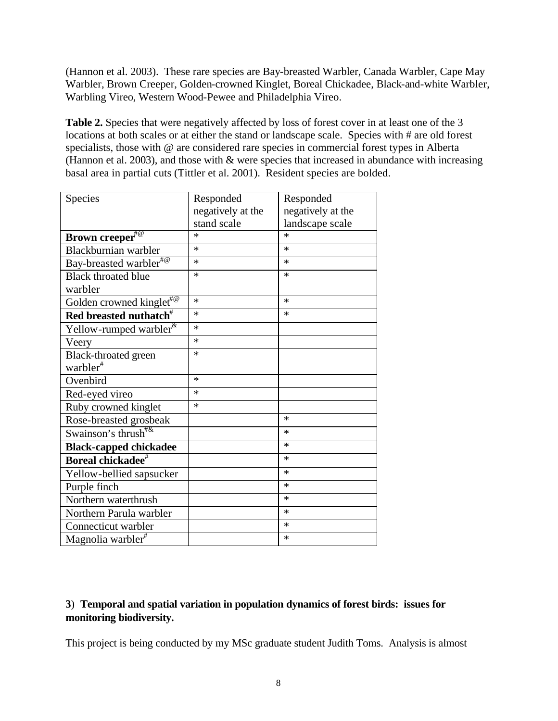(Hannon et al. 2003). These rare species are Bay-breasted Warbler, Canada Warbler, Cape May Warbler, Brown Creeper, Golden-crowned Kinglet, Boreal Chickadee, Black-and-white Warbler, Warbling Vireo, Western Wood-Pewee and Philadelphia Vireo.

Table 2. Species that were negatively affected by loss of forest cover in at least one of the 3 locations at both scales or at either the stand or landscape scale. Species with # are old forest specialists, those with @ are considered rare species in commercial forest types in Alberta (Hannon et al. 2003), and those with  $\&$  were species that increased in abundance with increasing basal area in partial cuts (Tittler et al. 2001). Resident species are bolded.

| Species                                | Responded         | Responded         |
|----------------------------------------|-------------------|-------------------|
|                                        | negatively at the | negatively at the |
|                                        | stand scale       | landscape scale   |
| Brown creeper <sup>#@</sup>            | ж                 | $\ast$            |
| Blackburnian warbler                   | *                 | *                 |
| Bay-breasted warbler <sup>#@</sup>     | *                 | *                 |
| <b>Black throated blue</b>             | *                 | *                 |
| warbler                                |                   |                   |
| Golden crowned kinglet <sup>#@</sup>   | *                 | $\ast$            |
| Red breasted nuthatch <sup>#</sup>     | *                 | *                 |
| Yellow-rumped warbler <sup>&amp;</sup> | *                 |                   |
| Veery                                  | *                 |                   |
| Black-throated green                   | *                 |                   |
| warbler <sup>#</sup>                   |                   |                   |
| Ovenbird                               | $\ast$            |                   |
| Red-eyed vireo                         | *                 |                   |
| Ruby crowned kinglet                   | *                 |                   |
| Rose-breasted grosbeak                 |                   | *                 |
| Swainson's thrush <sup>#&amp;</sup>    |                   | *                 |
| <b>Black-capped chickadee</b>          |                   | *                 |
| Boreal chickadee <sup>#</sup>          |                   | *                 |
| Yellow-bellied sapsucker               |                   | $\ast$            |
| Purple finch                           |                   | $\ast$            |
| Northern waterthrush                   |                   | $\ast$            |
| Northern Parula warbler                |                   | *                 |
| Connecticut warbler                    |                   | *                 |
| Magnolia warbler <sup>#</sup>          |                   | *                 |

#### **3**) **Temporal and spatial variation in population dynamics of forest birds: issues for monitoring biodiversity.**

This project is being conducted by my MSc graduate student Judith Toms. Analysis is almost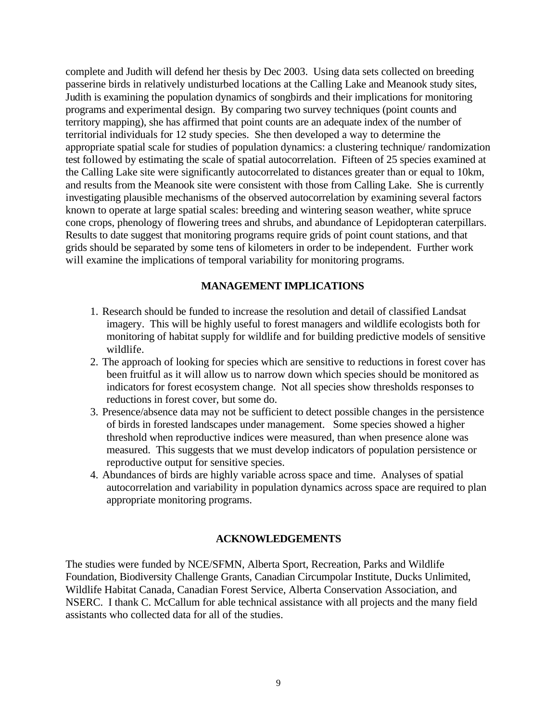complete and Judith will defend her thesis by Dec 2003. Using data sets collected on breeding passerine birds in relatively undisturbed locations at the Calling Lake and Meanook study sites, Judith is examining the population dynamics of songbirds and their implications for monitoring programs and experimental design. By comparing two survey techniques (point counts and territory mapping), she has affirmed that point counts are an adequate index of the number of territorial individuals for 12 study species. She then developed a way to determine the appropriate spatial scale for studies of population dynamics: a clustering technique/ randomization test followed by estimating the scale of spatial autocorrelation. Fifteen of 25 species examined at the Calling Lake site were significantly autocorrelated to distances greater than or equal to 10km, and results from the Meanook site were consistent with those from Calling Lake. She is currently investigating plausible mechanisms of the observed autocorrelation by examining several factors known to operate at large spatial scales: breeding and wintering season weather, white spruce cone crops, phenology of flowering trees and shrubs, and abundance of Lepidopteran caterpillars. Results to date suggest that monitoring programs require grids of point count stations, and that grids should be separated by some tens of kilometers in order to be independent. Further work will examine the implications of temporal variability for monitoring programs.

#### **MANAGEMENT IMPLICATIONS**

- 1. Research should be funded to increase the resolution and detail of classified Landsat imagery. This will be highly useful to forest managers and wildlife ecologists both for monitoring of habitat supply for wildlife and for building predictive models of sensitive wildlife.
- 2. The approach of looking for species which are sensitive to reductions in forest cover has been fruitful as it will allow us to narrow down which species should be monitored as indicators for forest ecosystem change. Not all species show thresholds responses to reductions in forest cover, but some do.
- 3. Presence/absence data may not be sufficient to detect possible changes in the persistence of birds in forested landscapes under management. Some species showed a higher threshold when reproductive indices were measured, than when presence alone was measured. This suggests that we must develop indicators of population persistence or reproductive output for sensitive species.
- 4. Abundances of birds are highly variable across space and time. Analyses of spatial autocorrelation and variability in population dynamics across space are required to plan appropriate monitoring programs.

#### **ACKNOWLEDGEMENTS**

The studies were funded by NCE/SFMN, Alberta Sport, Recreation, Parks and Wildlife Foundation, Biodiversity Challenge Grants, Canadian Circumpolar Institute, Ducks Unlimited, Wildlife Habitat Canada, Canadian Forest Service, Alberta Conservation Association, and NSERC. I thank C. McCallum for able technical assistance with all projects and the many field assistants who collected data for all of the studies.